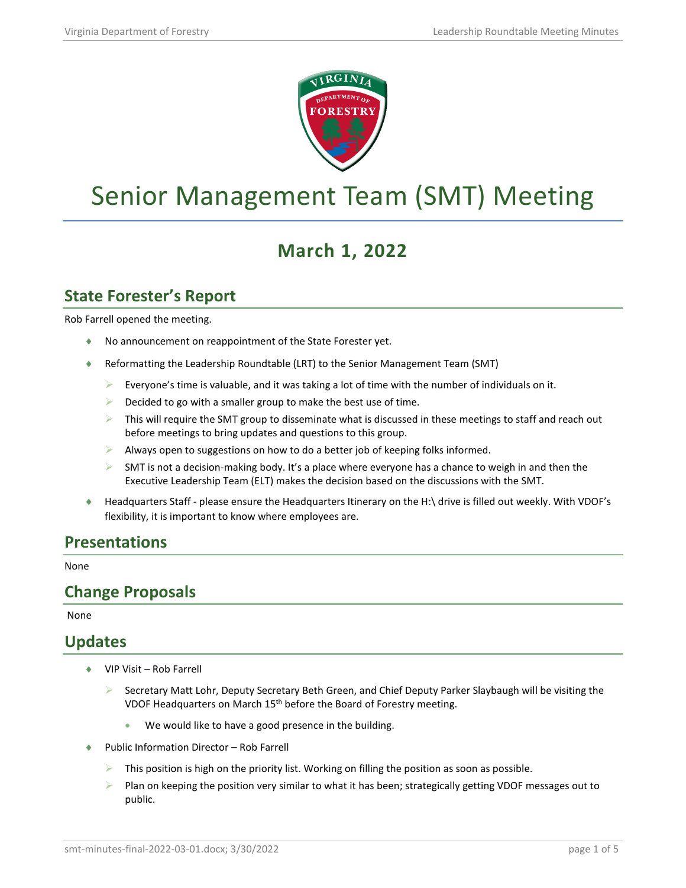

# Senior Management Team (SMT) Meeting

## **March 1, 2022**

### **State Forester's Report**

Rob Farrell opened the meeting.

- ♦ No announcement on reappointment of the State Forester yet.
- Reformatting the Leadership Roundtable (LRT) to the Senior Management Team (SMT)
	- Everyone's time is valuable, and it was taking a lot of time with the number of individuals on it.
	- Decided to go with a smaller group to make the best use of time.
	- $\triangleright$  This will require the SMT group to disseminate what is discussed in these meetings to staff and reach out before meetings to bring updates and questions to this group.
	- Always open to suggestions on how to do a better job of keeping folks informed.
	- $\triangleright$  SMT is not a decision-making body. It's a place where everyone has a chance to weigh in and then the Executive Leadership Team (ELT) makes the decision based on the discussions with the SMT.
- ♦ Headquarters Staff please ensure the Headquarters Itinerary on the H:\ drive is filled out weekly. With VDOF's flexibility, it is important to know where employees are.

#### **Presentations**

None

#### **Change Proposals**

None

#### **Updates**

- VIP Visit Rob Farrell
	- ▶ Secretary Matt Lohr, Deputy Secretary Beth Green, and Chief Deputy Parker Slaybaugh will be visiting the VDOF Headquarters on March 15th before the Board of Forestry meeting.
		- We would like to have a good presence in the building.
- Public Information Director Rob Farrell
	- This position is high on the priority list. Working on filling the position as soon as possible.
	- Plan on keeping the position very similar to what it has been; strategically getting VDOF messages out to public.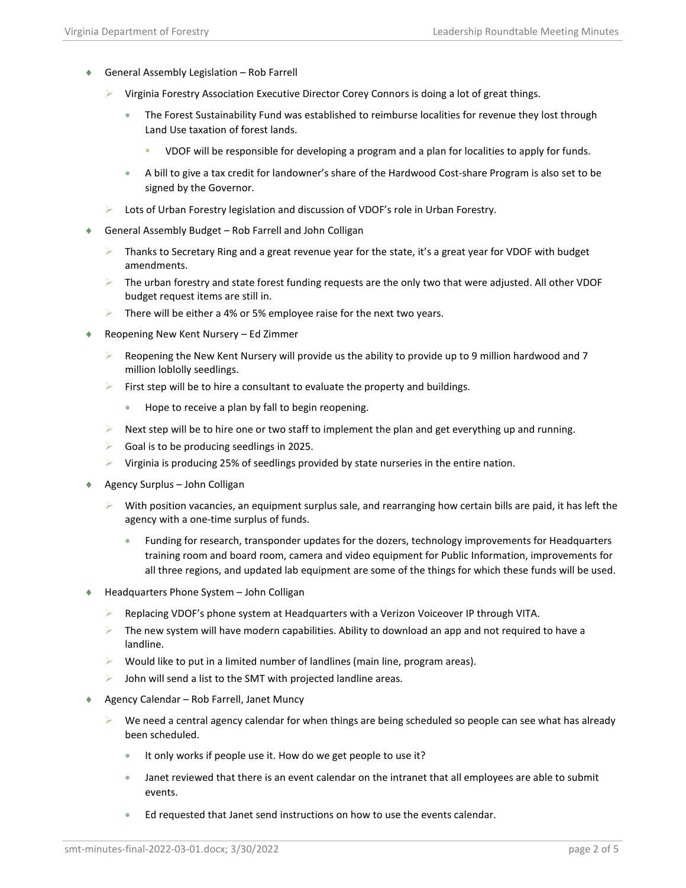- ♦ General Assembly Legislation Rob Farrell
	- $\triangleright$  Virginia Forestry Association Executive Director Corey Connors is doing a lot of great things.
		- The Forest Sustainability Fund was established to reimburse localities for revenue they lost through Land Use taxation of forest lands.
			- VDOF will be responsible for developing a program and a plan for localities to apply for funds.
		- A bill to give a tax credit for landowner's share of the Hardwood Cost-share Program is also set to be signed by the Governor.
	- Lots of Urban Forestry legislation and discussion of VDOF's role in Urban Forestry.
- ♦ General Assembly Budget Rob Farrell and John Colligan
	- $\triangleright$  Thanks to Secretary Ring and a great revenue year for the state, it's a great year for VDOF with budget amendments.
	- $\triangleright$  The urban forestry and state forest funding requests are the only two that were adjusted. All other VDOF budget request items are still in.
	- $\triangleright$  There will be either a 4% or 5% employee raise for the next two years.
- Reopening New Kent Nursery Ed Zimmer
	- $\triangleright$  Reopening the New Kent Nursery will provide us the ability to provide up to 9 million hardwood and 7 million loblolly seedlings.
	- $\triangleright$  First step will be to hire a consultant to evaluate the property and buildings.
		- Hope to receive a plan by fall to begin reopening.
	- $\triangleright$  Next step will be to hire one or two staff to implement the plan and get everything up and running.
	- $\triangleright$  Goal is to be producing seedlings in 2025.
	- $\triangleright$  Virginia is producing 25% of seedlings provided by state nurseries in the entire nation.
- Agency Surplus John Colligan
	- $\triangleright$  With position vacancies, an equipment surplus sale, and rearranging how certain bills are paid, it has left the agency with a one-time surplus of funds.
		- Funding for research, transponder updates for the dozers, technology improvements for Headquarters training room and board room, camera and video equipment for Public Information, improvements for all three regions, and updated lab equipment are some of the things for which these funds will be used.
- Headquarters Phone System John Colligan
	- $\triangleright$  Replacing VDOF's phone system at Headquarters with a Verizon Voiceover IP through VITA.
	- $\triangleright$  The new system will have modern capabilities. Ability to download an app and not required to have a landline.
	- $\triangleright$  Would like to put in a limited number of landlines (main line, program areas).
	- $\triangleright$  John will send a list to the SMT with projected landline areas.
- ♦ Agency Calendar Rob Farrell, Janet Muncy
	- We need a central agency calendar for when things are being scheduled so people can see what has already been scheduled.
		- It only works if people use it. How do we get people to use it?
		- Janet reviewed that there is an event calendar on the intranet that all employees are able to submit events.
		- Ed requested that Janet send instructions on how to use the events calendar.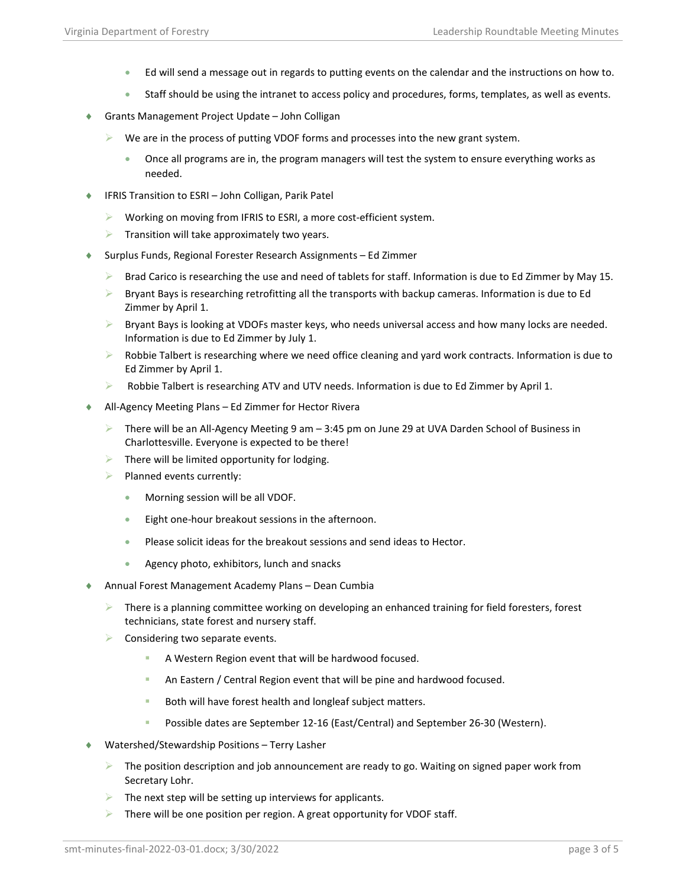- Ed will send a message out in regards to putting events on the calendar and the instructions on how to.
- Staff should be using the intranet to access policy and procedures, forms, templates, as well as events.
- Grants Management Project Update John Colligan
	- $\triangleright$  We are in the process of putting VDOF forms and processes into the new grant system.
		- Once all programs are in, the program managers will test the system to ensure everything works as needed.
- ♦ IFRIS Transition to ESRI John Colligan, Parik Patel
	- $\triangleright$  Working on moving from IFRIS to ESRI, a more cost-efficient system.
	- $\triangleright$  Transition will take approximately two years.
- ♦ Surplus Funds, Regional Forester Research Assignments Ed Zimmer
	- Brad Carico is researching the use and need of tablets for staff. Information is due to Ed Zimmer by May 15.
	- $\triangleright$  Bryant Bays is researching retrofitting all the transports with backup cameras. Information is due to Ed Zimmer by April 1.
	- $\triangleright$  Bryant Bays is looking at VDOFs master keys, who needs universal access and how many locks are needed. Information is due to Ed Zimmer by July 1.
	- **EX** Robbie Talbert is researching where we need office cleaning and yard work contracts. Information is due to Ed Zimmer by April 1.
	- $\triangleright$  Robbie Talbert is researching ATV and UTV needs. Information is due to Ed Zimmer by April 1.
- ♦ All-Agency Meeting Plans Ed Zimmer for Hector Rivera
	- $\triangleright$  There will be an All-Agency Meeting 9 am  $-$  3:45 pm on June 29 at UVA Darden School of Business in Charlottesville. Everyone is expected to be there!
	- $\blacktriangleright$  There will be limited opportunity for lodging.
	- $\blacktriangleright$  Planned events currently:
		- Morning session will be all VDOF.
		- Eight one-hour breakout sessions in the afternoon.
		- Please solicit ideas for the breakout sessions and send ideas to Hector.
		- Agency photo, exhibitors, lunch and snacks
- ♦ Annual Forest Management Academy Plans Dean Cumbia
	- $\triangleright$  There is a planning committee working on developing an enhanced training for field foresters, forest technicians, state forest and nursery staff.
	- Considering two separate events.
		- A Western Region event that will be hardwood focused.
		- An Eastern / Central Region event that will be pine and hardwood focused.
		- Both will have forest health and longleaf subject matters.
		- Possible dates are September 12-16 (East/Central) and September 26-30 (Western).
- Watershed/Stewardship Positions Terry Lasher
	- $\triangleright$  The position description and job announcement are ready to go. Waiting on signed paper work from Secretary Lohr.
	- $\triangleright$  The next step will be setting up interviews for applicants.
	- $\triangleright$  There will be one position per region. A great opportunity for VDOF staff.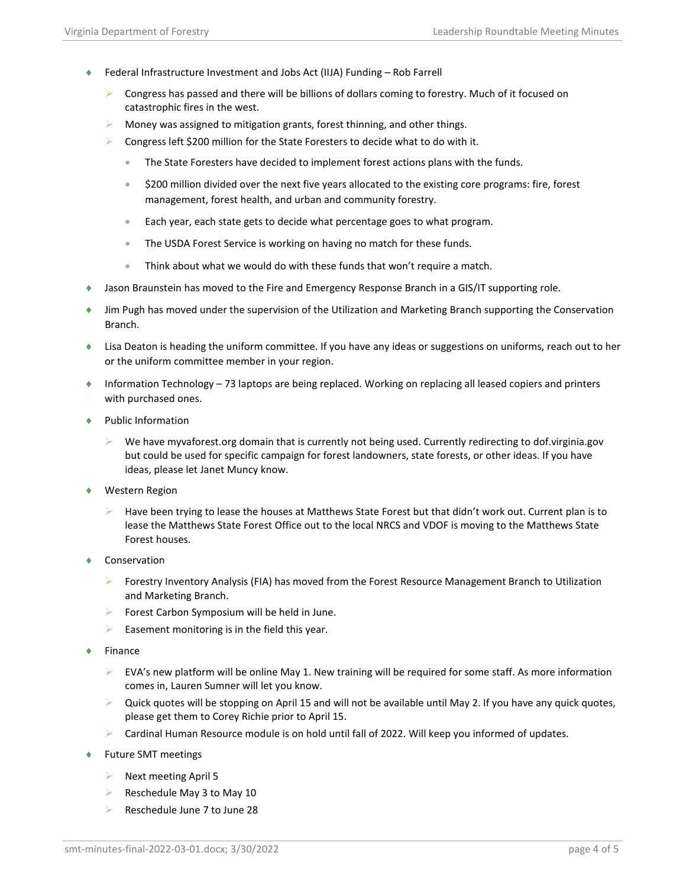- ♦ Federal Infrastructure Investment and Jobs Act (IIJA) Funding Rob Farrell
	- Congress has passed and there will be billions of dollars coming to forestry. Much of it focused on catastrophic fires in the west.
	- $\triangleright$  Money was assigned to mitigation grants, forest thinning, and other things.
	- Congress left \$200 million for the State Foresters to decide what to do with it.
		- The State Foresters have decided to implement forest actions plans with the funds.
		- \$200 million divided over the next five years allocated to the existing core programs: fire, forest management, forest health, and urban and community forestry.
		- Each year, each state gets to decide what percentage goes to what program.
		- The USDA Forest Service is working on having no match for these funds.
		- Think about what we would do with these funds that won't require a match.
- ♦ Jason Braunstein has moved to the Fire and Emergency Response Branch in a GIS/IT supporting role.
- ♦ Jim Pugh has moved under the supervision of the Utilization and Marketing Branch supporting the Conservation Branch.
- ♦ Lisa Deaton is heading the uniform committee. If you have any ideas or suggestions on uniforms, reach out to her or the uniform committee member in your region.
- ♦ Information Technology 73 laptops are being replaced. Working on replacing all leased copiers and printers with purchased ones.
- ♦ Public Information
	- We have myvaforest.org domain that is currently not being used. Currently redirecting to dof.virginia.gov but could be used for specific campaign for forest landowners, state forests, or other ideas. If you have ideas, please let Janet Muncy know.
- ♦ Western Region
	- Have been trying to lease the houses at Matthews State Forest but that didn't work out. Current plan is to lease the Matthews State Forest Office out to the local NRCS and VDOF is moving to the Matthews State Forest houses.
- ♦ Conservation
	- **F** Forestry Inventory Analysis (FIA) has moved from the Forest Resource Management Branch to Utilization and Marketing Branch.
	- $\triangleright$  Forest Carbon Symposium will be held in June.
	- $\blacktriangleright$  Easement monitoring is in the field this year.
- ♦ Finance
	- $\triangleright$  EVA's new platform will be online May 1. New training will be required for some staff. As more information comes in, Lauren Sumner will let you know.
	- $\triangleright$  Quick quotes will be stopping on April 15 and will not be available until May 2. If you have any quick quotes, please get them to Corey Richie prior to April 15.
	- Cardinal Human Resource module is on hold until fall of 2022. Will keep you informed of updates.
- Future SMT meetings
	- $\triangleright$  Next meeting April 5
	- Reschedule May 3 to May 10
	- $\triangleright$  Reschedule June 7 to June 28